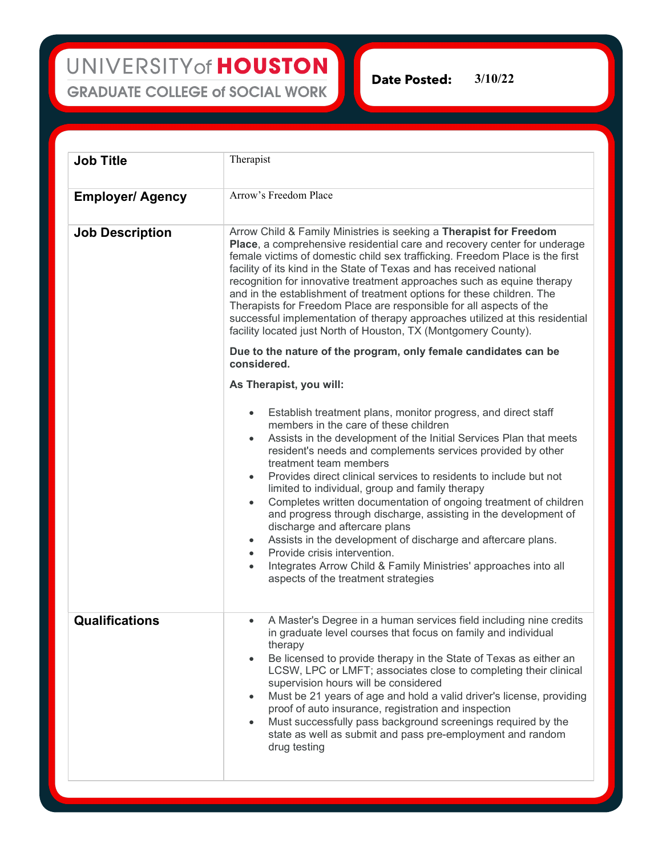UNIVERSITY of HOUSTON **GRADUATE COLLEGE of SOCIAL WORK** 

**Date Posted:** 3/**10**/22

| <b>Job Title</b>        | Therapist                                                                                                                                                                                                                                                                                                                                                                                                                                                                                                                                                                                                                                                                                                                                                                                                                           |
|-------------------------|-------------------------------------------------------------------------------------------------------------------------------------------------------------------------------------------------------------------------------------------------------------------------------------------------------------------------------------------------------------------------------------------------------------------------------------------------------------------------------------------------------------------------------------------------------------------------------------------------------------------------------------------------------------------------------------------------------------------------------------------------------------------------------------------------------------------------------------|
| <b>Employer/ Agency</b> | Arrow's Freedom Place                                                                                                                                                                                                                                                                                                                                                                                                                                                                                                                                                                                                                                                                                                                                                                                                               |
| <b>Job Description</b>  | Arrow Child & Family Ministries is seeking a Therapist for Freedom<br>Place, a comprehensive residential care and recovery center for underage<br>female victims of domestic child sex trafficking. Freedom Place is the first<br>facility of its kind in the State of Texas and has received national<br>recognition for innovative treatment approaches such as equine therapy<br>and in the establishment of treatment options for these children. The<br>Therapists for Freedom Place are responsible for all aspects of the<br>successful implementation of therapy approaches utilized at this residential<br>facility located just North of Houston, TX (Montgomery County).                                                                                                                                                 |
|                         | Due to the nature of the program, only female candidates can be<br>considered.                                                                                                                                                                                                                                                                                                                                                                                                                                                                                                                                                                                                                                                                                                                                                      |
|                         | As Therapist, you will:                                                                                                                                                                                                                                                                                                                                                                                                                                                                                                                                                                                                                                                                                                                                                                                                             |
|                         | Establish treatment plans, monitor progress, and direct staff<br>members in the care of these children<br>Assists in the development of the Initial Services Plan that meets<br>$\bullet$<br>resident's needs and complements services provided by other<br>treatment team members<br>Provides direct clinical services to residents to include but not<br>limited to individual, group and family therapy<br>Completes written documentation of ongoing treatment of children<br>$\bullet$<br>and progress through discharge, assisting in the development of<br>discharge and aftercare plans<br>Assists in the development of discharge and aftercare plans.<br>Provide crisis intervention.<br>$\bullet$<br>Integrates Arrow Child & Family Ministries' approaches into all<br>$\bullet$<br>aspects of the treatment strategies |
| <b>Qualifications</b>   | A Master's Degree in a human services field including nine credits<br>in graduate level courses that focus on family and individual<br>therapy<br>Be licensed to provide therapy in the State of Texas as either an<br>$\bullet$<br>LCSW, LPC or LMFT; associates close to completing their clinical<br>supervision hours will be considered<br>Must be 21 years of age and hold a valid driver's license, providing<br>$\bullet$<br>proof of auto insurance, registration and inspection<br>Must successfully pass background screenings required by the<br>$\bullet$<br>state as well as submit and pass pre-employment and random<br>drug testing                                                                                                                                                                                |